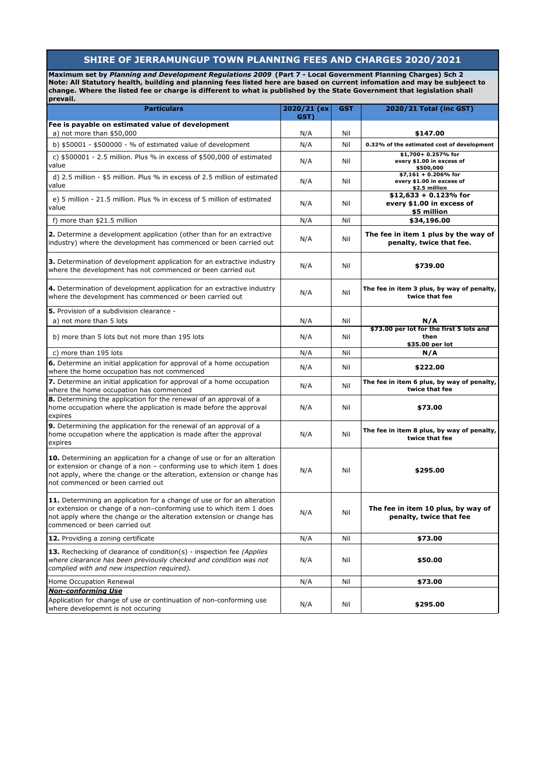## **SHIRE OF JERRAMUNGUP TOWN PLANNING FEES AND CHARGES 2020/2021**

**Maximum set by** *Planning and Development Regulations 2009* **(Part 7 - Local Government Planning Charges) Sch 2 Note: All Statutory health, building and planning fees listed here are based on current infomation and may be subjeect to change. Where the listed fee or charge is different to what is published by the State Government that legislation shall**  prevail.

| <b>Particulars</b>                                                                                                                                                                                                                                                     | 2020/21 (ex) | GST | 2020/21 Total (inc GST)                                              |
|------------------------------------------------------------------------------------------------------------------------------------------------------------------------------------------------------------------------------------------------------------------------|--------------|-----|----------------------------------------------------------------------|
|                                                                                                                                                                                                                                                                        | GST)         |     |                                                                      |
| Fee is payable on estimated value of development<br>a) not more than $$50,000$                                                                                                                                                                                         | N/A          | Nil | \$147.00                                                             |
| b) $$50001 - $500000 - %$ of estimated value of development                                                                                                                                                                                                            | N/A          | Nil | 0.32% of the estimated cost of development                           |
| c) \$500001 - 2.5 million. Plus % in excess of \$500,000 of estimated<br>value                                                                                                                                                                                         | N/A          | Nil | \$1,700+ 0.257% for<br>every \$1.00 in excess of<br>\$500,000        |
| d) 2.5 million - \$5 million. Plus % in excess of 2.5 million of estimated<br>value                                                                                                                                                                                    | N/A          | Nil | $$7,161 + 0.206\%$ for<br>every \$1.00 in excess of<br>\$2.5 million |
| e) 5 million - 21.5 million. Plus % in excess of 5 million of estimated<br>value                                                                                                                                                                                       | N/A          | Nil | $$12,633 + 0.123\%$ for<br>every \$1.00 in excess of<br>\$5 million  |
| f) more than \$21.5 million                                                                                                                                                                                                                                            | N/A          | Nil | \$34,196.00                                                          |
| <b>2.</b> Determine a development application (other than for an extractive<br>industry) where the development has commenced or been carried out                                                                                                                       | N/A          | Nil | The fee in item 1 plus by the way of<br>penalty, twice that fee.     |
| <b>3.</b> Determination of development application for an extractive industry<br>where the development has not commenced or been carried out                                                                                                                           | N/A          | Nil | \$739.00                                                             |
| 4. Determination of development application for an extractive industry<br>where the development has commenced or been carried out                                                                                                                                      | N/A          | Nil | The fee in item 3 plus, by way of penalty,<br>twice that fee         |
| 5. Provision of a subdivision clearance -                                                                                                                                                                                                                              |              |     |                                                                      |
| a) not more than 5 lots                                                                                                                                                                                                                                                | N/A          | Nil | N/A                                                                  |
| b) more than 5 lots but not more than 195 lots                                                                                                                                                                                                                         | N/A          | Nil | \$73.00 per lot for the first 5 lots and<br>then<br>\$35.00 per lot  |
| c) more than 195 lots                                                                                                                                                                                                                                                  | N/A          | Nil | N/A                                                                  |
| 6. Determine an initial application for approval of a home occupation<br>where the home occupation has not commenced                                                                                                                                                   | N/A          | Nil | \$222.00                                                             |
| 7. Determine an initial application for approval of a home occupation<br>where the home occupation has commenced                                                                                                                                                       | N/A          | Nil | The fee in item 6 plus, by way of penalty,<br>twice that fee         |
| 8. Determining the application for the renewal of an approval of a<br>home occupation where the application is made before the approval<br>expires                                                                                                                     | N/A          | Nil | \$73.00                                                              |
| <b>9.</b> Determining the application for the renewal of an approval of a<br>home occupation where the application is made after the approval<br>expires                                                                                                               | N/A          | Nil | The fee in item 8 plus, by way of penalty,<br>twice that fee         |
| <b>10.</b> Determining an application for a change of use or for an alteration<br>or extension or change of a non - conforming use to which item 1 does<br>not apply, where the change or the alteration, extension or change has<br>not commenced or been carried out | N/A          | Nil | \$295.00                                                             |
| 11. Determining an application for a change of use or for an alteration<br>or extension or change of a non-conforming use to which item 1 does<br>not apply where the change or the alteration extension or change has<br>commenced or been carried out                | N/A          | Nil | The fee in item 10 plus, by way of<br>penalty, twice that fee        |
| 12. Providing a zoning certificate                                                                                                                                                                                                                                     | N/A          | Nil | \$73.00                                                              |
| 13. Rechecking of clearance of condition(s) - inspection fee (Applies<br>where clearance has been previously checked and condition was not<br>complied with and new inspection required).                                                                              | N/A          | Nil | \$50.00                                                              |
| Home Occupation Renewal                                                                                                                                                                                                                                                | N/A          | Nil | \$73.00                                                              |
| <b>Non-conforming Use</b>                                                                                                                                                                                                                                              |              |     |                                                                      |
| Application for change of use or continuation of non-conforming use<br>where developemnt is not occuring                                                                                                                                                               | N/A          | Nil | \$295.00                                                             |